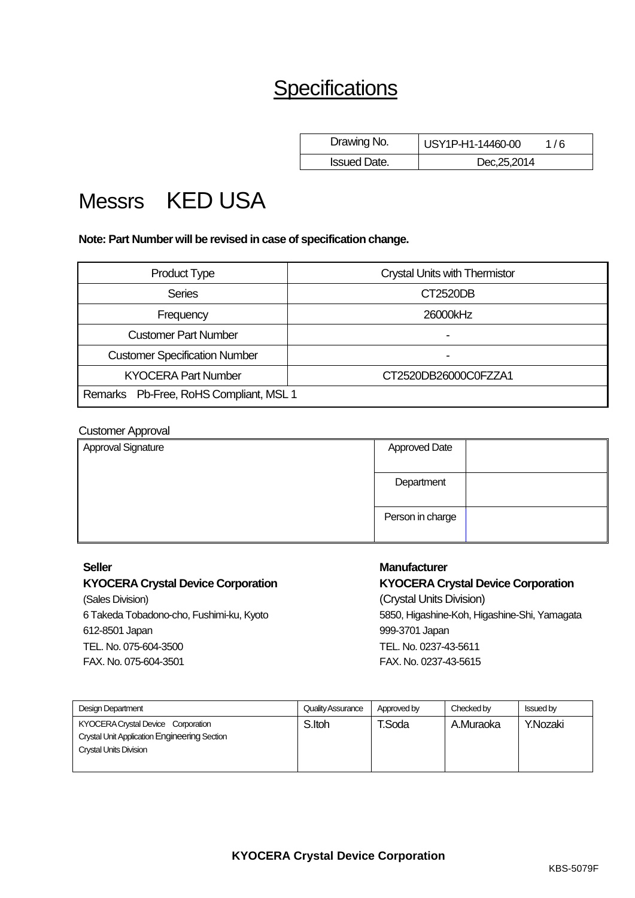# **Specifications**

| Drawing No.         | USY1P-H1-14460-00 | 1/6 |
|---------------------|-------------------|-----|
| <b>Issued Date.</b> | Dec, 25, 2014     |     |

# Messrs KED USA

**Note: Part Number will be revised in case of specification change.**

| <b>Product Type</b>                    | <b>Crystal Units with Thermistor</b> |  |  |  |  |
|----------------------------------------|--------------------------------------|--|--|--|--|
| <b>Series</b>                          | CT2520DB                             |  |  |  |  |
| Frequency                              | 26000kHz                             |  |  |  |  |
| <b>Customer Part Number</b>            | -                                    |  |  |  |  |
| <b>Customer Specification Number</b>   |                                      |  |  |  |  |
| <b>KYOCERA Part Number</b>             | CT2520DB26000C0FZZA1                 |  |  |  |  |
| Remarks Pb-Free, RoHS Compliant, MSL 1 |                                      |  |  |  |  |

| <b>Customer Approval</b> |                      |  |
|--------------------------|----------------------|--|
| Approval Signature       | <b>Approved Date</b> |  |
|                          | Department           |  |
|                          | Person in charge     |  |

(Sales Division) (Crystal Units Division) 612-8501 Japan 999-3701 Japan TEL. No. 075-604-3500 FAX. No. 075-604-3501

# **Seller Manufacturer**

**KYOCERA Crystal Device Corporation KYOCERA Crystal Device Corporation** 6 Takeda Tobadono-cho, Fushimi-ku, Kyoto 5850, Higashine-Koh, Higashine-Shi, Yamagata TEL. No. 0237-43-5611 FAX. No. 0237-43-5615

| <b>Design Department</b>                                                                                                   | Quality Assurance | Approved by | Checked by | <b>Issued by</b> |
|----------------------------------------------------------------------------------------------------------------------------|-------------------|-------------|------------|------------------|
| KYOCERA Crystal Device Corporation<br><b>Crystal Unit Application Engineering Section</b><br><b>Crystal Units Division</b> | S.Itoh            | T.Soda      | A.Muraoka  | Y.Nozaki         |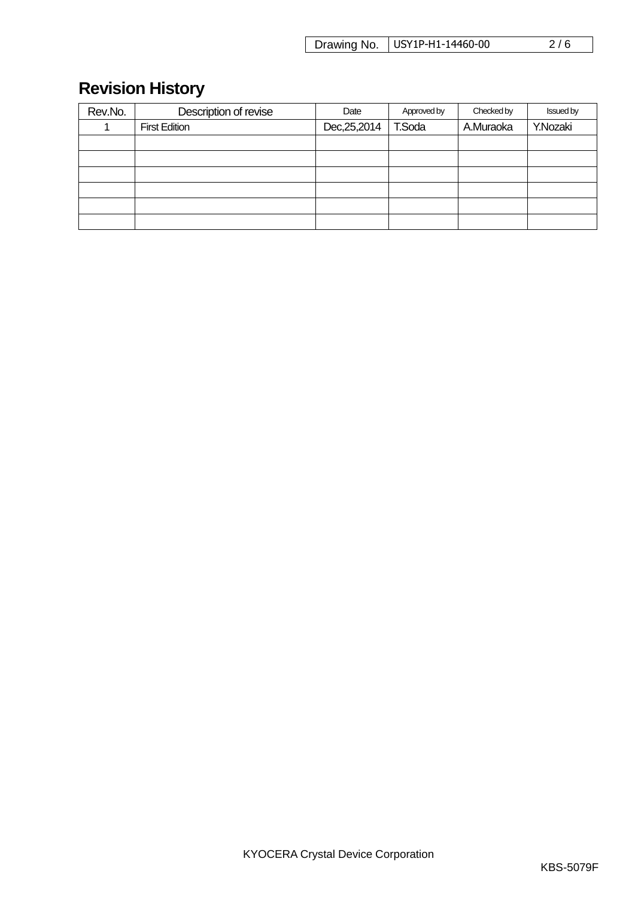| Drawing No.   USY1P-H1-14460-00 | 2/6 |
|---------------------------------|-----|
|---------------------------------|-----|

# **Revision History**

| Rev.No. | Description of revise | Date          | Approved by | Checked by | <b>Issued by</b> |
|---------|-----------------------|---------------|-------------|------------|------------------|
|         | <b>First Edition</b>  | Dec, 25, 2014 | T.Soda      | A.Muraoka  | Y.Nozaki         |
|         |                       |               |             |            |                  |
|         |                       |               |             |            |                  |
|         |                       |               |             |            |                  |
|         |                       |               |             |            |                  |
|         |                       |               |             |            |                  |
|         |                       |               |             |            |                  |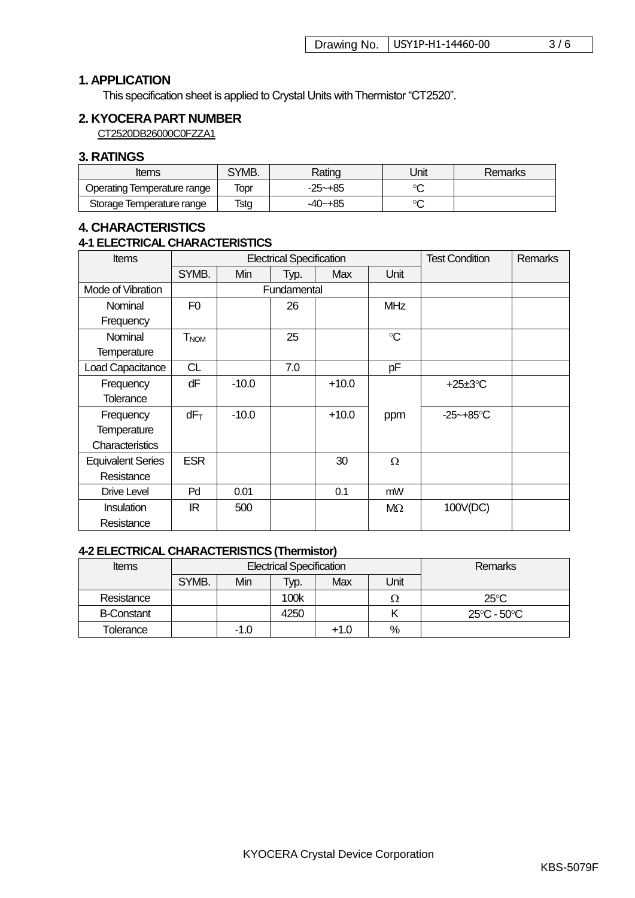# **1. APPLICATION**

This specification sheet is applied to Crystal Units with Thermistor "CT2520".

# **2. KYOCERAPART NUMBER**

CT2520DB26000C0FZZA1

### **3. RATINGS**

| <i>Items</i>                | SYMB. | Rating      | Unit | <b>Remarks</b> |
|-----------------------------|-------|-------------|------|----------------|
| Operating Temperature range | Topr  | $-25 - +85$ | െ    |                |
| Storage Temperature range   | Tstg  | -40~+85     | ∼    |                |

# **4. CHARACTERISTICS**

#### **4-1 ELECTRICAL CHARACTERISTICS**

| <b>Items</b>             |                | <b>Electrical Specification</b> |             |         | <b>Test Condition</b> | <b>Remarks</b> |  |
|--------------------------|----------------|---------------------------------|-------------|---------|-----------------------|----------------|--|
|                          | SYMB.          | Min                             | Typ.        | Max     | Unit                  |                |  |
| Mode of Vibration        |                |                                 | Fundamental |         |                       |                |  |
| Nominal                  | F <sub>0</sub> |                                 | 26          |         | <b>MHz</b>            |                |  |
| Frequency                |                |                                 |             |         |                       |                |  |
| Nominal                  | $T_{NOM}$      |                                 | 25          |         | $\mathrm{C}$          |                |  |
| <b>Temperature</b>       |                |                                 |             |         |                       |                |  |
| Load Capacitance         | <b>CL</b>      |                                 | 7.0         |         | pF                    |                |  |
| Frequency                | dF             | $-10.0$                         |             | $+10.0$ |                       | +25 $\pm$ 3°C  |  |
| <b>Tolerance</b>         |                |                                 |             |         |                       |                |  |
| Frequency                | $dF_T$         | $-10.0$                         |             | $+10.0$ | ppm                   | $-25 - +85$ °C |  |
| Temperature              |                |                                 |             |         |                       |                |  |
| Characteristics          |                |                                 |             |         |                       |                |  |
| <b>Equivalent Series</b> | <b>ESR</b>     |                                 |             | 30      | Ω                     |                |  |
| Resistance               |                |                                 |             |         |                       |                |  |
| Drive Level              | Pd             | 0.01                            |             | 0.1     | mW                    |                |  |
| <b>Insulation</b>        | IR.            | 500                             |             |         | MΩ                    | 100V(DC)       |  |
| Resistance               |                |                                 |             |         |                       |                |  |

# **4-2 ELECTRICAL CHARACTERISTICS (Thermistor)**

| <b>Items</b>      | <b>Electrical Specification</b> |        |      |        |      | <b>Remarks</b> |
|-------------------|---------------------------------|--------|------|--------|------|----------------|
|                   | SYMB.                           | Min    | Typ. | Max    | Unit |                |
| Resistance        |                                 |        | 100k |        | 75   | $25^{\circ}$ C |
| <b>B-Constant</b> |                                 |        | 4250 |        |      | 25°C - 50°C    |
| Tolerance         |                                 | $-1.0$ |      | $+1.0$ | %    |                |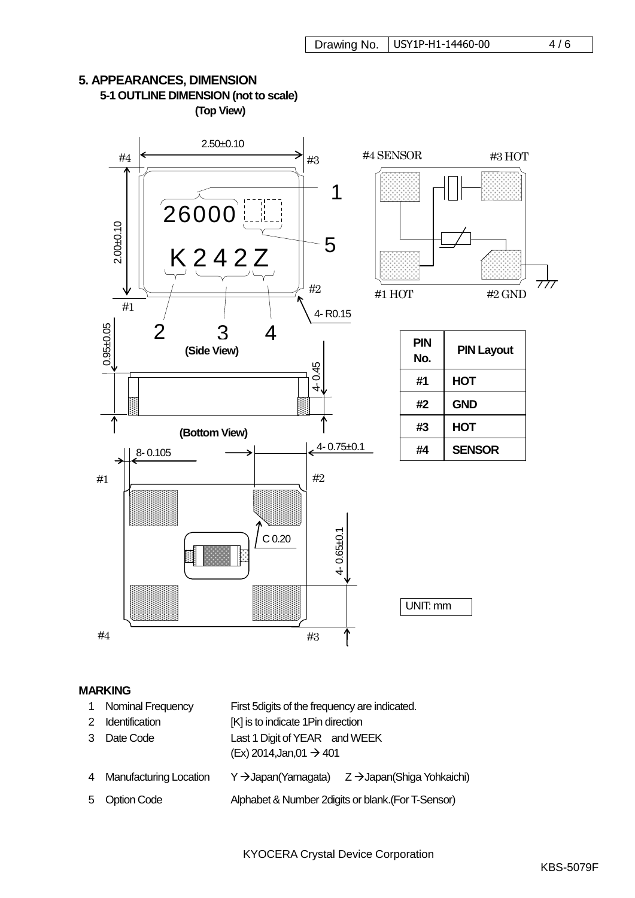

# **5. APPEARANCES, DIMENSION 5-1 OUTLINE DIMENSION (not to scale) (Top View)**

#### **MARKING**

- 1 Nominal Frequency First 5digits of the frequency are indicated.
- 2 Identification [K] is to indicate 1Pin direction
- 3 Date Code Last 1 Digit of YEAR and WEEK
	- $(Ex)$  2014, Jan, 01  $\rightarrow$  401
- 4 Manufacturing Location Y -> Japan (Yamagata) Z -> Japan (Shiga Yohkaichi)
- 5 Option Code Alphabet & Number 2digits or blank.(For T-Sensor)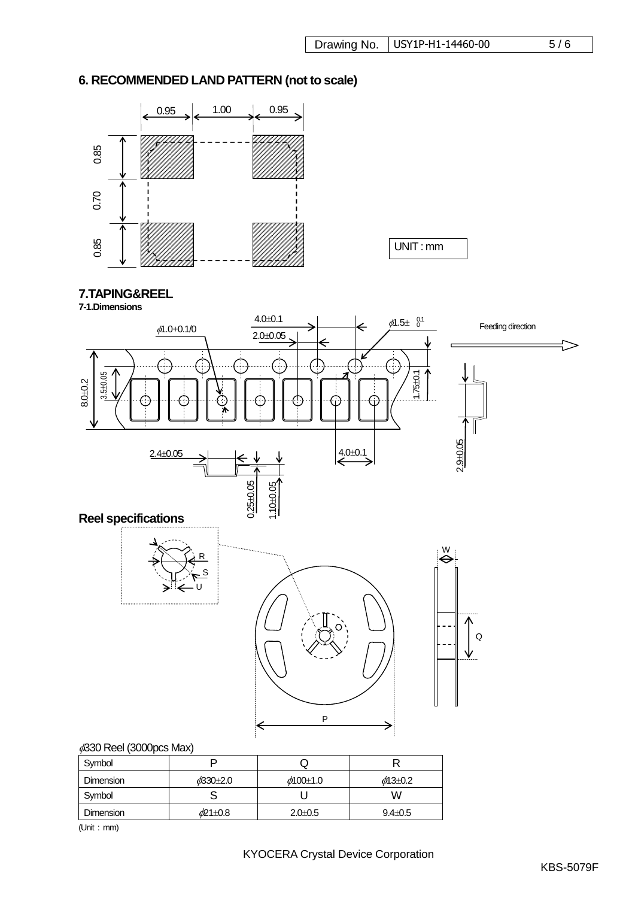# **6. RECOMMENDED LAND PATTERN (not to scale)**



UNIT : mm

# **7.TAPING&REEL**

**7-1.Dimensions**



| Symbol           |            | w              |                     |
|------------------|------------|----------------|---------------------|
| <b>Dimension</b> | $d$ 30+2.0 | $\phi$ 100±1.0 | $\phi$ 13 $\pm$ 0.2 |
| Symbol           |            |                | W                   |
| <b>Dimension</b> | o/21±0.8   | $2.0 \pm 0.5$  | $9.4 \pm 0.5$       |

(Unit : mm)